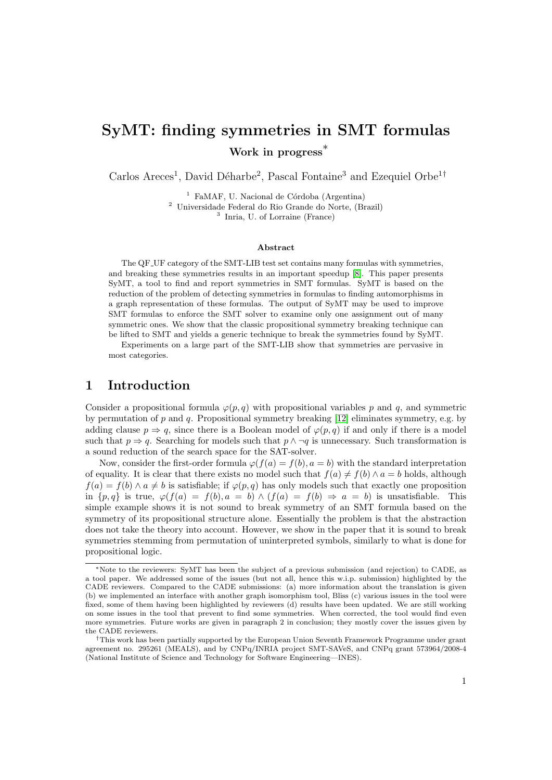# SyMT: finding symmetries in SMT formulas

Work in progress<sup>\*</sup>

Carlos Areces<sup>1</sup>, David Déharbe<sup>2</sup>, Pascal Fontaine<sup>3</sup> and Ezequiel Orbe<sup>1†</sup>

 $1$  FaMAF, U. Nacional de Córdoba (Argentina) <sup>2</sup> Universidade Federal do Rio Grande do Norte, (Brazil) 3 Inria, U. of Lorraine (France)

#### Abstract

The QF UF category of the SMT-LIB test set contains many formulas with symmetries, and breaking these symmetries results in an important speedup [\[8\]](#page-6-0). This paper presents SyMT, a tool to find and report symmetries in SMT formulas. SyMT is based on the reduction of the problem of detecting symmetries in formulas to finding automorphisms in a graph representation of these formulas. The output of SyMT may be used to improve SMT formulas to enforce the SMT solver to examine only one assignment out of many symmetric ones. We show that the classic propositional symmetry breaking technique can be lifted to SMT and yields a generic technique to break the symmetries found by SyMT.

Experiments on a large part of the SMT-LIB show that symmetries are pervasive in most categories.

### 1 Introduction

Consider a propositional formula  $\varphi(p,q)$  with propositional variables p and q, and symmetric by permutation of p and q. Propositional symmetry breaking  $[12]$  eliminates symmetry, e.g. by adding clause  $p \Rightarrow q$ , since there is a Boolean model of  $\varphi(p,q)$  if and only if there is a model such that  $p \Rightarrow q$ . Searching for models such that  $p \land \neg q$  is unnecessary. Such transformation is a sound reduction of the search space for the SAT-solver.

Now, consider the first-order formula  $\varphi(f(a) = f(b), a = b)$  with the standard interpretation of equality. It is clear that there exists no model such that  $f(a) \neq f(b) \land a = b$  holds, although  $f(a) = f(b) \wedge a \neq b$  is satisfiable; if  $\varphi(p,q)$  has only models such that exactly one proposition in  $\{p,q\}$  is true,  $\varphi(f(a) = f(b), a = b) \wedge (f(a) = f(b) \Rightarrow a = b)$  is unsatisfiable. This simple example shows it is not sound to break symmetry of an SMT formula based on the symmetry of its propositional structure alone. Essentially the problem is that the abstraction does not take the theory into account. However, we show in the paper that it is sound to break symmetries stemming from permutation of uninterpreted symbols, similarly to what is done for propositional logic.

<sup>∗</sup>Note to the reviewers: SyMT has been the subject of a previous submission (and rejection) to CADE, as a tool paper. We addressed some of the issues (but not all, hence this w.i.p. submission) highlighted by the CADE reviewers. Compared to the CADE submissions: (a) more information about the translation is given (b) we implemented an interface with another graph isomorphism tool, Bliss (c) various issues in the tool were fixed, some of them having been highlighted by reviewers (d) results have been updated. We are still working on some issues in the tool that prevent to find some symmetries. When corrected, the tool would find even more symmetries. Future works are given in paragraph 2 in conclusion; they mostly cover the issues given by the CADE reviewers.

<sup>†</sup>This work has been partially supported by the European Union Seventh Framework Programme under grant agreement no. 295261 (MEALS), and by CNPq/INRIA project SMT-SAVeS, and CNPq grant 573964/2008-4 (National Institute of Science and Technology for Software Engineering—INES).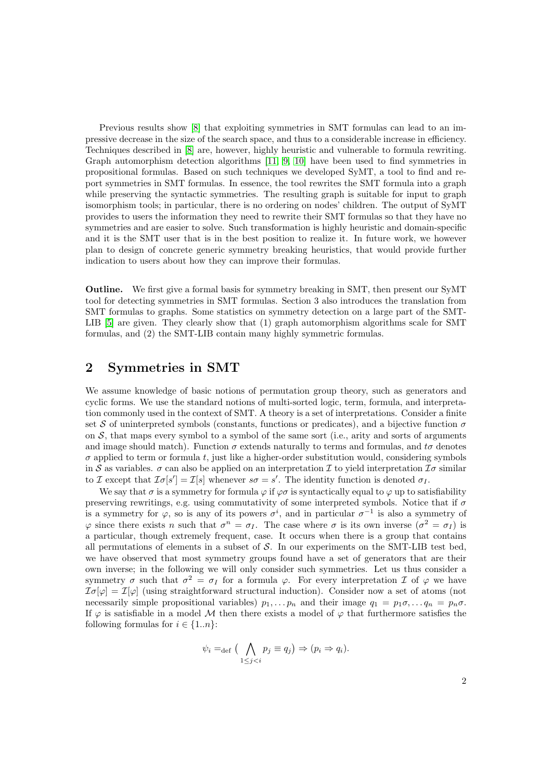Previous results show [\[8\]](#page-6-0) that exploiting symmetries in SMT formulas can lead to an impressive decrease in the size of the search space, and thus to a considerable increase in efficiency. Techniques described in [\[8\]](#page-6-0) are, however, highly heuristic and vulnerable to formula rewriting. Graph automorphism detection algorithms [\[11,](#page-7-1) [9,](#page-6-1) [10\]](#page-6-2) have been used to find symmetries in propositional formulas. Based on such techniques we developed SyMT, a tool to find and report symmetries in SMT formulas. In essence, the tool rewrites the SMT formula into a graph while preserving the syntactic symmetries. The resulting graph is suitable for input to graph isomorphism tools; in particular, there is no ordering on nodes' children. The output of SyMT provides to users the information they need to rewrite their SMT formulas so that they have no symmetries and are easier to solve. Such transformation is highly heuristic and domain-specific and it is the SMT user that is in the best position to realize it. In future work, we however plan to design of concrete generic symmetry breaking heuristics, that would provide further indication to users about how they can improve their formulas.

Outline. We first give a formal basis for symmetry breaking in SMT, then present our SyMT tool for detecting symmetries in SMT formulas. Section 3 also introduces the translation from SMT formulas to graphs. Some statistics on symmetry detection on a large part of the SMT-LIB [\[5\]](#page-6-3) are given. They clearly show that (1) graph automorphism algorithms scale for SMT formulas, and (2) the SMT-LIB contain many highly symmetric formulas.

### 2 Symmetries in SMT

We assume knowledge of basic notions of permutation group theory, such as generators and cyclic forms. We use the standard notions of multi-sorted logic, term, formula, and interpretation commonly used in the context of SMT. A theory is a set of interpretations. Consider a finite set S of uninterpreted symbols (constants, functions or predicates), and a bijective function  $\sigma$ on  $S$ , that maps every symbol to a symbol of the same sort (i.e., arity and sorts of arguments and image should match). Function  $\sigma$  extends naturally to terms and formulas, and  $t\sigma$  denotes  $\sigma$  applied to term or formula t, just like a higher-order substitution would, considering symbols in S as variables.  $\sigma$  can also be applied on an interpretation I to yield interpretation  $\mathcal{I}\sigma$  similar to I except that  $\mathcal{I}\sigma[s'] = \mathcal{I}[s]$  whenever  $s\sigma = s'$ . The identity function is denoted  $\sigma_I$ .

We say that  $\sigma$  is a symmetry for formula  $\varphi$  if  $\varphi\sigma$  is syntactically equal to  $\varphi$  up to satisfiability preserving rewritings, e.g. using commutativity of some interpreted symbols. Notice that if  $\sigma$ is a symmetry for  $\varphi$ , so is any of its powers  $\sigma^i$ , and in particular  $\sigma^{-1}$  is also a symmetry of  $\varphi$  since there exists n such that  $\sigma^n = \sigma_I$ . The case where  $\sigma$  is its own inverse  $(\sigma^2 = \sigma_I)$  is a particular, though extremely frequent, case. It occurs when there is a group that contains all permutations of elements in a subset of  $S$ . In our experiments on the SMT-LIB test bed, we have observed that most symmetry groups found have a set of generators that are their own inverse; in the following we will only consider such symmetries. Let us thus consider a symmetry  $\sigma$  such that  $\sigma^2 = \sigma_I$  for a formula  $\varphi$ . For every interpretation  $\mathcal I$  of  $\varphi$  we have  $\mathcal{I}\sigma[\varphi] = \mathcal{I}[\varphi]$  (using straightforward structural induction). Consider now a set of atoms (not necessarily simple propositional variables)  $p_1, \ldots, p_n$  and their image  $q_1 = p_1 \sigma, \ldots, q_n = p_n \sigma$ . If  $\varphi$  is satisfiable in a model M then there exists a model of  $\varphi$  that furthermore satisfies the following formulas for  $i \in \{1..n\}$ :

$$
\psi_i =_{\text{def}} \big( \bigwedge_{1 \leq j < i} p_j \equiv q_j \big) \Rightarrow (p_i \Rightarrow q_i).
$$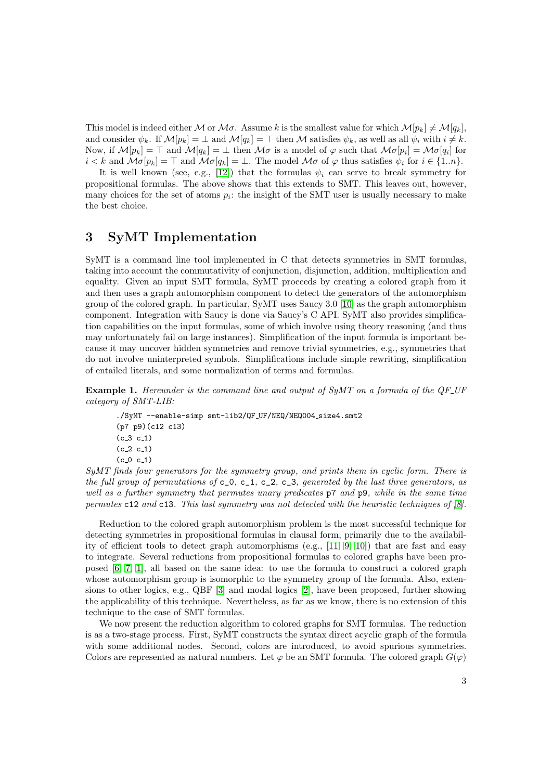This model is indeed either M or M $\sigma$ . Assume k is the smallest value for which  $\mathcal{M}[p_k] \neq \mathcal{M}[q_k]$ , and consider  $\psi_k$ . If  $\mathcal{M}[p_k] = \bot$  and  $\mathcal{M}[q_k] = \top$  then M satisfies  $\psi_k$ , as well as all  $\psi_i$  with  $i \neq k$ . Now, if  $\mathcal{M}[p_k] = \top$  and  $\mathcal{M}[q_k] = \bot$  then  $\mathcal{M}\sigma$  is a model of  $\varphi$  such that  $\mathcal{M}\sigma[p_i] = \mathcal{M}\sigma[q_i]$  for  $i < k$  and  $\mathcal{M}\sigma[p_k] = \top$  and  $\mathcal{M}\sigma[q_k] = \bot$ . The model  $\mathcal{M}\sigma$  of  $\varphi$  thus satisfies  $\psi_i$  for  $i \in \{1..n\}$ .

It is well known (see, e.g., [\[12\]](#page-7-0)) that the formulas  $\psi_i$  can serve to break symmetry for propositional formulas. The above shows that this extends to SMT. This leaves out, however, many choices for the set of atoms  $p_i$ : the insight of the SMT user is usually necessary to make the best choice.

### 3 SyMT Implementation

SyMT is a command line tool implemented in C that detects symmetries in SMT formulas, taking into account the commutativity of conjunction, disjunction, addition, multiplication and equality. Given an input SMT formula, SyMT proceeds by creating a colored graph from it and then uses a graph automorphism component to detect the generators of the automorphism group of the colored graph. In particular, SyMT uses Saucy 3.0 [\[10\]](#page-6-2) as the graph automorphism component. Integration with Saucy is done via Saucy's C API. SyMT also provides simplification capabilities on the input formulas, some of which involve using theory reasoning (and thus may unfortunately fail on large instances). Simplification of the input formula is important because it may uncover hidden symmetries and remove trivial symmetries, e.g., symmetries that do not involve uninterpreted symbols. Simplifications include simple rewriting, simplification of entailed literals, and some normalization of terms and formulas.

Example 1. Hereunder is the command line and output of SyMT on a formula of the QF\_UF category of SMT-LIB:

```
./SyMT --enable-simp smt-lib2/QF_UF/NEQ/NEQ004_size4.smt2
(p7 p9)(c12 c13)
(c_3 c_1)(c_{-2} c_{-1})(c_0 c_1)
```
SyMT finds four generators for the symmetry group, and prints them in cyclic form. There is the full group of permutations of  $c_0$ ,  $c_1$ ,  $c_2$ ,  $c_3$ , generated by the last three generators, as well as a further symmetry that permutes unary predicates  $p7$  and  $p9$ , while in the same time permutes c12 and c13. This last symmetry was not detected with the heuristic techniques of [\[8\]](#page-6-0).

Reduction to the colored graph automorphism problem is the most successful technique for detecting symmetries in propositional formulas in clausal form, primarily due to the availability of efficient tools to detect graph automorphisms (e.g., [\[11,](#page-7-1) [9,](#page-6-1) [10\]](#page-6-2)) that are fast and easy to integrate. Several reductions from propositional formulas to colored graphs have been proposed [\[6,](#page-6-4) [7,](#page-6-5) [1\]](#page-6-6), all based on the same idea: to use the formula to construct a colored graph whose automorphism group is isomorphic to the symmetry group of the formula. Also, extensions to other logics, e.g., QBF [\[3\]](#page-6-7) and modal logics [\[2\]](#page-6-8), have been proposed, further showing the applicability of this technique. Nevertheless, as far as we know, there is no extension of this technique to the case of SMT formulas.

We now present the reduction algorithm to colored graphs for SMT formulas. The reduction is as a two-stage process. First, SyMT constructs the syntax direct acyclic graph of the formula with some additional nodes. Second, colors are introduced, to avoid spurious symmetries. Colors are represented as natural numbers. Let  $\varphi$  be an SMT formula. The colored graph  $G(\varphi)$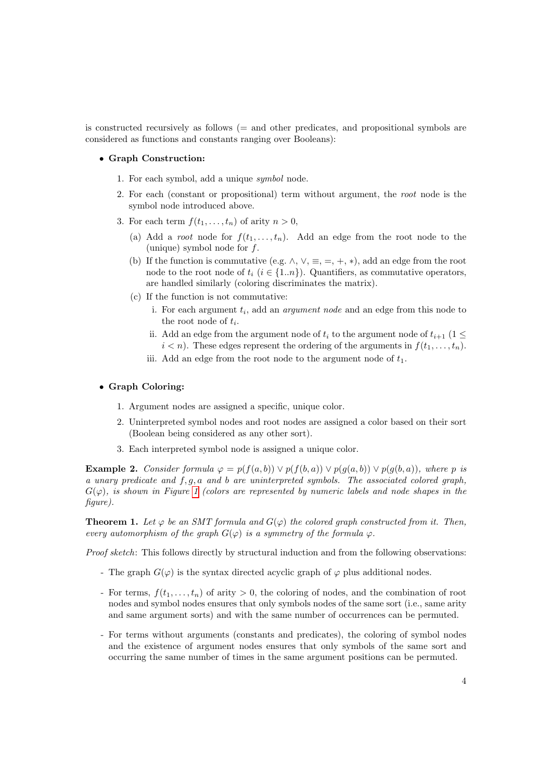is constructed recursively as follows (= and other predicates, and propositional symbols are considered as functions and constants ranging over Booleans):

### • Graph Construction:

- 1. For each symbol, add a unique symbol node.
- 2. For each (constant or propositional) term without argument, the root node is the symbol node introduced above.
- 3. For each term  $f(t_1, \ldots, t_n)$  of arity  $n > 0$ ,
	- (a) Add a *root* node for  $f(t_1, \ldots, t_n)$ . Add an edge from the root node to the (unique) symbol node for  $f$ .
	- (b) If the function is commutative (e.g.  $\wedge$ ,  $\vee$ ,  $\equiv$ ,  $=$ ,  $+$ ,  $*$ ), add an edge from the root node to the root node of  $t_i$  ( $i \in \{1..n\}$ ). Quantifiers, as commutative operators, are handled similarly (coloring discriminates the matrix).
	- (c) If the function is not commutative:
		- i. For each argument  $t_i$ , add an *argument node* and an edge from this node to the root node of  $t_i$ .
		- ii. Add an edge from the argument node of  $t_i$  to the argument node of  $t_{i+1}$  (1  $\leq$  $i < n$ ). These edges represent the ordering of the arguments in  $f(t_1, \ldots, t_n)$ .
		- iii. Add an edge from the root node to the argument node of  $t_1$ .

#### • Graph Coloring:

- 1. Argument nodes are assigned a specific, unique color.
- 2. Uninterpreted symbol nodes and root nodes are assigned a color based on their sort (Boolean being considered as any other sort).
- 3. Each interpreted symbol node is assigned a unique color.

Example 2. Consider formula  $\varphi = p(f(a, b)) \vee p(f(b, a)) \vee p(g(a, b)) \vee p(g(b, a))$ , where p is a unary predicate and  $f, g, a$  and b are uninterpreted symbols. The associated colored graph,  $G(\varphi)$ , is shown in Figure [1](#page-4-0) (colors are represented by numeric labels and node shapes in the figure).

**Theorem 1.** Let  $\varphi$  be an SMT formula and  $G(\varphi)$  the colored graph constructed from it. Then, every automorphism of the graph  $G(\varphi)$  is a symmetry of the formula  $\varphi$ .

Proof sketch: This follows directly by structural induction and from the following observations:

- The graph  $G(\varphi)$  is the syntax directed acyclic graph of  $\varphi$  plus additional nodes.
- For terms,  $f(t_1, \ldots, t_n)$  of arity  $> 0$ , the coloring of nodes, and the combination of root nodes and symbol nodes ensures that only symbols nodes of the same sort (i.e., same arity and same argument sorts) and with the same number of occurrences can be permuted.
- For terms without arguments (constants and predicates), the coloring of symbol nodes and the existence of argument nodes ensures that only symbols of the same sort and occurring the same number of times in the same argument positions can be permuted.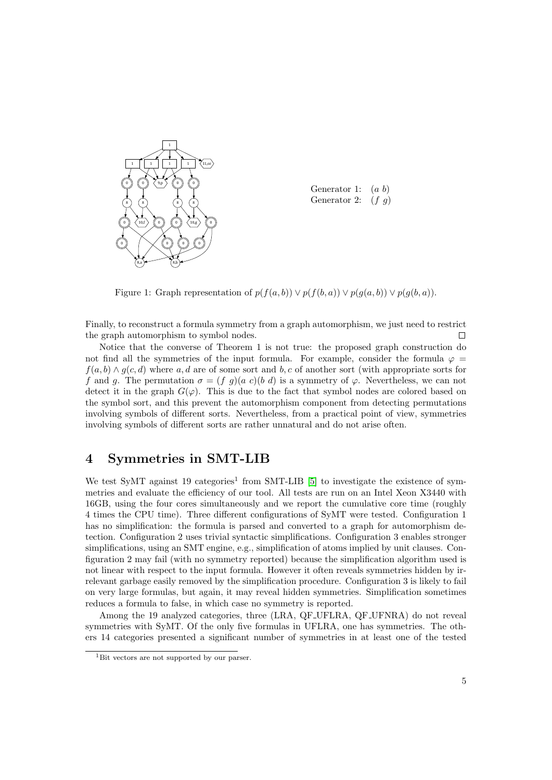

Generator 1:  $(a\ b)$ Generator 2:  $(f g)$ 

<span id="page-4-0"></span>Figure 1: Graph representation of  $p(f(a, b)) \vee p(f(b, a)) \vee p(g(a, b)) \vee p(g(b, a)).$ 

Finally, to reconstruct a formula symmetry from a graph automorphism, we just need to restrict the graph automorphism to symbol nodes.  $\Box$ 

Notice that the converse of Theorem 1 is not true: the proposed graph construction do not find all the symmetries of the input formula. For example, consider the formula  $\varphi =$  $f(a, b) \wedge g(c, d)$  where a, d are of some sort and b, c of another sort (with appropriate sorts for f and q. The permutation  $\sigma = (f \ q)(a \ c)(b \ d)$  is a symmetry of  $\varphi$ . Nevertheless, we can not detect it in the graph  $G(\varphi)$ . This is due to the fact that symbol nodes are colored based on the symbol sort, and this prevent the automorphism component from detecting permutations involving symbols of different sorts. Nevertheless, from a practical point of view, symmetries involving symbols of different sorts are rather unnatural and do not arise often.

## 4 Symmetries in SMT-LIB

We test SyMT against 19 categories<sup>1</sup> from SMT-LIB [\[5\]](#page-6-3) to investigate the existence of symmetries and evaluate the efficiency of our tool. All tests are run on an Intel Xeon X3440 with 16GB, using the four cores simultaneously and we report the cumulative core time (roughly 4 times the CPU time). Three different configurations of SyMT were tested. Configuration 1 has no simplification: the formula is parsed and converted to a graph for automorphism detection. Configuration 2 uses trivial syntactic simplifications. Configuration 3 enables stronger simplifications, using an SMT engine, e.g., simplification of atoms implied by unit clauses. Configuration 2 may fail (with no symmetry reported) because the simplification algorithm used is not linear with respect to the input formula. However it often reveals symmetries hidden by irrelevant garbage easily removed by the simplification procedure. Configuration 3 is likely to fail on very large formulas, but again, it may reveal hidden symmetries. Simplification sometimes reduces a formula to false, in which case no symmetry is reported.

Among the 19 analyzed categories, three (LRA, QF UFLRA, QF UFNRA) do not reveal symmetries with SyMT. Of the only five formulas in UFLRA, one has symmetries. The others 14 categories presented a significant number of symmetries in at least one of the tested

<sup>&</sup>lt;sup>1</sup>Bit vectors are not supported by our parser.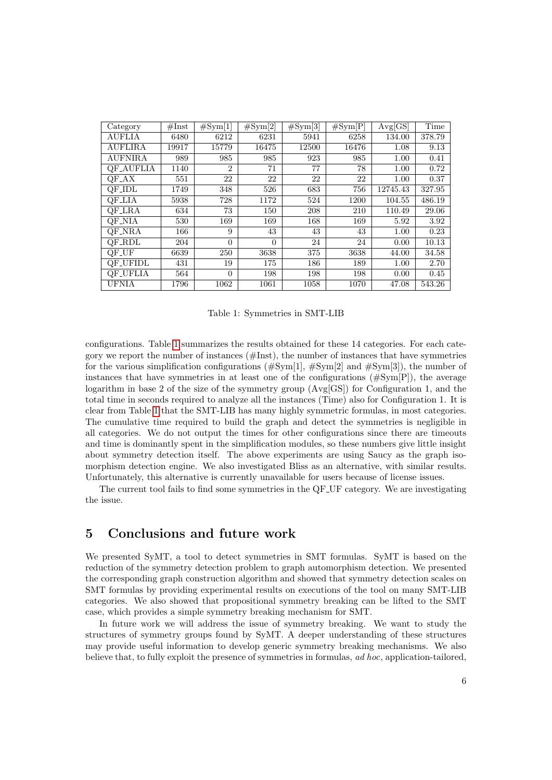| Category          | #Inst | $\#\mathrm{Sym}[1]$ | $\#\mathrm{Sym}[2]$ | $\#\mathrm{Sym}[3]$ | #Sym[P] | Avg[GS]  | Time   |
|-------------------|-------|---------------------|---------------------|---------------------|---------|----------|--------|
| <b>AUFLIA</b>     | 6480  | 6212                | 6231                | 5941                | 6258    | 134.00   | 378.79 |
| <b>AUFLIRA</b>    | 19917 | 15779               | 16475               | 12500               | 16476   | 1.08     | 9.13   |
| <b>AUFNIRA</b>    | 989   | 985                 | 985                 | 923                 | 985     | 1.00     | 0.41   |
| <b>QF_AUFLIA</b>  | 1140  | $\overline{2}$      | 71                  | 77                  | 78      | 1.00     | 0.72   |
| $QF\_{AX}$        | 551   | 22                  | 22                  | 22                  | 22      | 1.00     | 0.37   |
| QF_IDL            | 1749  | 348                 | 526                 | 683                 | 756     | 12745.43 | 327.95 |
| QF_LIA            | 5938  | 728                 | 1172                | 524                 | 1200    | 104.55   | 486.19 |
| QF_LRA            | 634   | 73                  | 150                 | 208                 | 210     | 110.49   | 29.06  |
| QF_NIA            | 530   | 169                 | 169                 | 168                 | 169     | 5.92     | 3.92   |
| QF_NRA            | 166   | 9                   | 43                  | 43                  | 43      | 1.00     | 0.23   |
| QF_RDL            | 204   | $\overline{0}$      | $\Omega$            | 24                  | 24      | 0.00     | 10.13  |
| QF <sub>-UF</sub> | 6639  | 250                 | 3638                | 375                 | 3638    | 44.00    | 34.58  |
| OF_UFIDL          | 431   | 19                  | 175                 | 186                 | 189     | 1.00     | 2.70   |
| <b>QF_UFLIA</b>   | 564   | $\theta$            | 198                 | 198                 | 198     | 0.00     | 0.45   |
| <b>UFNIA</b>      | 1796  | 1062                | 1061                | 1058                | 1070    | 47.08    | 543.26 |

<span id="page-5-0"></span>Table 1: Symmetries in SMT-LIB

configurations. Table [1](#page-5-0) summarizes the results obtained for these 14 categories. For each category we report the number of instances (#Inst), the number of instances that have symmetries for the various simplification configurations  $(\text{\#Sym}[1], \text{\#Sym}[2]$  and  $\text{\#Sym}[3])$ , the number of instances that have symmetries in at least one of the configurations (#Sym[P]), the average logarithm in base 2 of the size of the symmetry group (Avg[GS]) for Configuration 1, and the total time in seconds required to analyze all the instances (Time) also for Configuration 1. It is clear from Table [1](#page-5-0) that the SMT-LIB has many highly symmetric formulas, in most categories. The cumulative time required to build the graph and detect the symmetries is negligible in all categories. We do not output the times for other configurations since there are timeouts and time is dominantly spent in the simplification modules, so these numbers give little insight about symmetry detection itself. The above experiments are using Saucy as the graph isomorphism detection engine. We also investigated Bliss as an alternative, with similar results. Unfortunately, this alternative is currently unavailable for users because of license issues.

The current tool fails to find some symmetries in the QF UF category. We are investigating the issue.

## 5 Conclusions and future work

We presented SyMT, a tool to detect symmetries in SMT formulas. SyMT is based on the reduction of the symmetry detection problem to graph automorphism detection. We presented the corresponding graph construction algorithm and showed that symmetry detection scales on SMT formulas by providing experimental results on executions of the tool on many SMT-LIB categories. We also showed that propositional symmetry breaking can be lifted to the SMT case, which provides a simple symmetry breaking mechanism for SMT.

In future work we will address the issue of symmetry breaking. We want to study the structures of symmetry groups found by SyMT. A deeper understanding of these structures may provide useful information to develop generic symmetry breaking mechanisms. We also believe that, to fully exploit the presence of symmetries in formulas, ad hoc, application-tailored,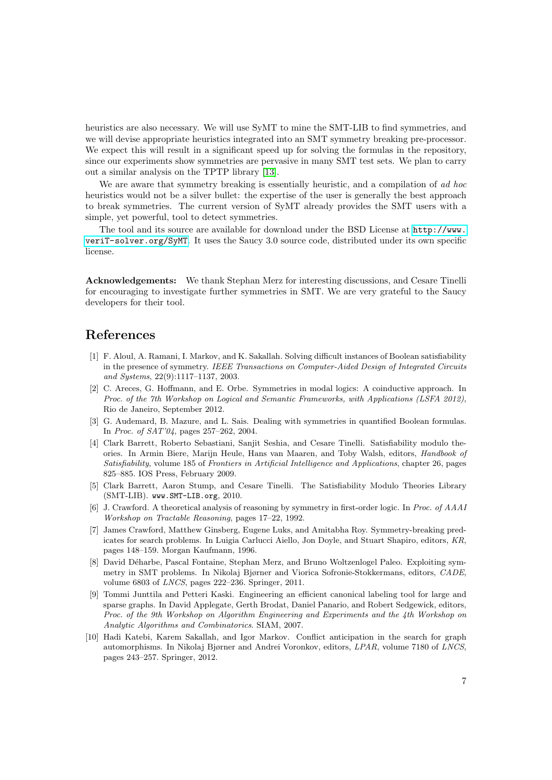heuristics are also necessary. We will use SyMT to mine the SMT-LIB to find symmetries, and we will devise appropriate heuristics integrated into an SMT symmetry breaking pre-processor. We expect this will result in a significant speed up for solving the formulas in the repository, since our experiments show symmetries are pervasive in many SMT test sets. We plan to carry out a similar analysis on the TPTP library [\[13\]](#page-7-2).

We are aware that symmetry breaking is essentially heuristic, and a compilation of ad hoc heuristics would not be a silver bullet: the expertise of the user is generally the best approach to break symmetries. The current version of SyMT already provides the SMT users with a simple, yet powerful, tool to detect symmetries.

The tool and its source are available for download under the BSD License at [http://www.](http://www.veriT-solver.org/SyMT) [veriT-solver.org/SyMT](http://www.veriT-solver.org/SyMT). It uses the Saucy 3.0 source code, distributed under its own specific license.

Acknowledgements: We thank Stephan Merz for interesting discussions, and Cesare Tinelli for encouraging to investigate further symmetries in SMT. We are very grateful to the Saucy developers for their tool.

### References

- <span id="page-6-6"></span>[1] F. Aloul, A. Ramani, I. Markov, and K. Sakallah. Solving difficult instances of Boolean satisfiability in the presence of symmetry. IEEE Transactions on Computer-Aided Design of Integrated Circuits and Systems, 22(9):1117–1137, 2003.
- <span id="page-6-8"></span>[2] C. Areces, G. Hoffmann, and E. Orbe. Symmetries in modal logics: A coinductive approach. In Proc. of the 7th Workshop on Logical and Semantic Frameworks, with Applications (LSFA 2012), Rio de Janeiro, September 2012.
- <span id="page-6-7"></span>[3] G. Audemard, B. Mazure, and L. Sais. Dealing with symmetries in quantified Boolean formulas. In Proc. of SAT'04, pages 257–262, 2004.
- [4] Clark Barrett, Roberto Sebastiani, Sanjit Seshia, and Cesare Tinelli. Satisfiability modulo theories. In Armin Biere, Marijn Heule, Hans van Maaren, and Toby Walsh, editors, Handbook of Satisfiability, volume 185 of Frontiers in Artificial Intelligence and Applications, chapter 26, pages 825–885. IOS Press, February 2009.
- <span id="page-6-3"></span>[5] Clark Barrett, Aaron Stump, and Cesare Tinelli. The Satisfiability Modulo Theories Library (SMT-LIB). www.SMT-LIB.org, 2010.
- <span id="page-6-4"></span>[6] J. Crawford. A theoretical analysis of reasoning by symmetry in first-order logic. In Proc. of AAAI Workshop on Tractable Reasoning, pages 17–22, 1992.
- <span id="page-6-5"></span>[7] James Crawford, Matthew Ginsberg, Eugene Luks, and Amitabha Roy. Symmetry-breaking predicates for search problems. In Luigia Carlucci Aiello, Jon Doyle, and Stuart Shapiro, editors, KR, pages 148–159. Morgan Kaufmann, 1996.
- <span id="page-6-0"></span>[8] David Déharbe, Pascal Fontaine, Stephan Merz, and Bruno Woltzenlogel Paleo. Exploiting symmetry in SMT problems. In Nikolaj Bjørner and Viorica Sofronie-Stokkermans, editors, CADE, volume 6803 of LNCS, pages 222–236. Springer, 2011.
- <span id="page-6-1"></span>[9] Tommi Junttila and Petteri Kaski. Engineering an efficient canonical labeling tool for large and sparse graphs. In David Applegate, Gerth Brodat, Daniel Panario, and Robert Sedgewick, editors, Proc. of the 9th Workshop on Algorithm Engineering and Experiments and the 4th Workshop on Analytic Algorithms and Combinatorics. SIAM, 2007.
- <span id="page-6-2"></span>[10] Hadi Katebi, Karem Sakallah, and Igor Markov. Conflict anticipation in the search for graph automorphisms. In Nikolaj Bjørner and Andrei Voronkov, editors, LPAR, volume 7180 of LNCS, pages 243–257. Springer, 2012.